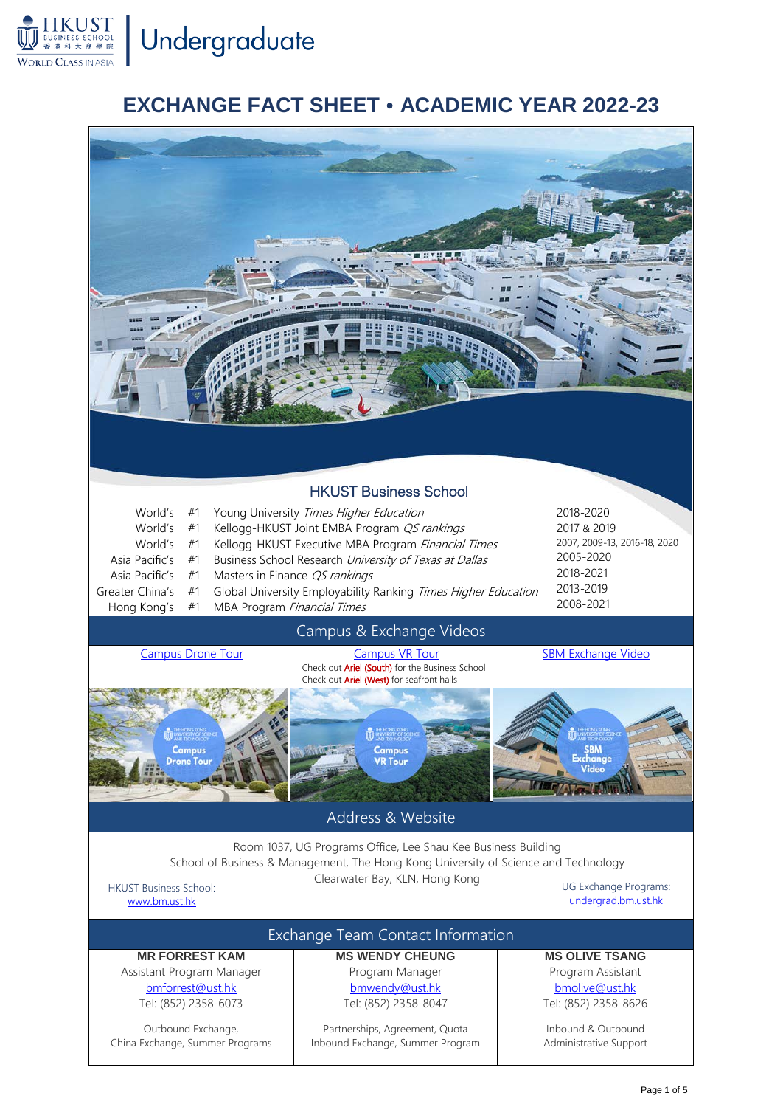**HKUST**<br>**BUSINESS SCHOOL** Undergraduate

**WORLD CLASS IN ASIA** 

## **EXCHANGE FACT SHEET ACADEMIC YEAR 2022-23**



Page 1 of 5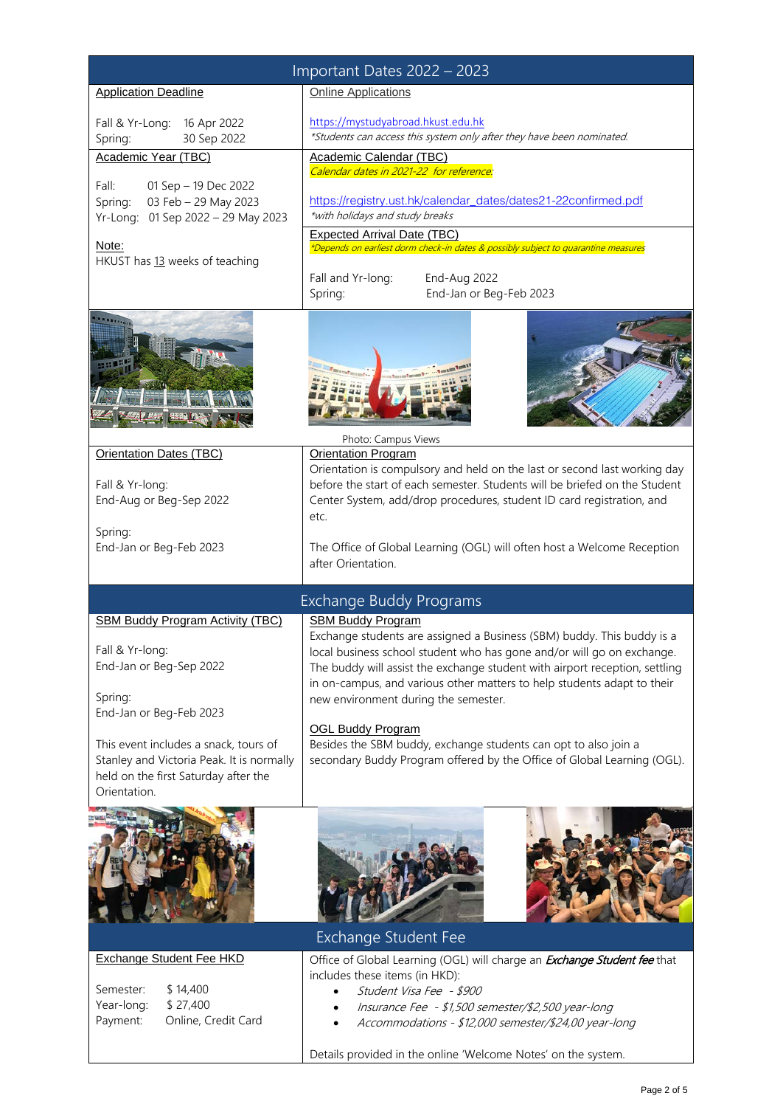| Important Dates 2022 - 2023                                                                                                                                          |                                                                                                                                                                                                                                                                                                                                                                                                                                                                               |  |  |
|----------------------------------------------------------------------------------------------------------------------------------------------------------------------|-------------------------------------------------------------------------------------------------------------------------------------------------------------------------------------------------------------------------------------------------------------------------------------------------------------------------------------------------------------------------------------------------------------------------------------------------------------------------------|--|--|
| <b>Application Deadline</b>                                                                                                                                          | <b>Online Applications</b>                                                                                                                                                                                                                                                                                                                                                                                                                                                    |  |  |
| 16 Apr 2022<br>Fall & Yr-Long:<br>30 Sep 2022<br>Spring:                                                                                                             | https://mystudyabroad.hkust.edu.hk<br>*Students can access this system only after they have been nominated.                                                                                                                                                                                                                                                                                                                                                                   |  |  |
| Academic Year (TBC)                                                                                                                                                  | Academic Calendar (TBC)                                                                                                                                                                                                                                                                                                                                                                                                                                                       |  |  |
| Fall:<br>01 Sep - 19 Dec 2022<br>03 Feb - 29 May 2023<br>Spring:<br>Yr-Long: 01 Sep 2022 - 29 May 2023<br>Note:<br>HKUST has 13 weeks of teaching                    | Calendar dates in 2021-22 for reference:<br>https://registry.ust.hk/calendar_dates/dates21-22confirmed.pdf<br>*with holidays and study breaks<br><b>Expected Arrival Date (TBC)</b><br>*Depends on earliest dorm check-in dates & possibly subject to quarantine measures                                                                                                                                                                                                     |  |  |
|                                                                                                                                                                      | End-Aug 2022<br>Fall and Yr-long:<br>End-Jan or Beg-Feb 2023<br>Spring:                                                                                                                                                                                                                                                                                                                                                                                                       |  |  |
|                                                                                                                                                                      | Photo: Campus Views                                                                                                                                                                                                                                                                                                                                                                                                                                                           |  |  |
| <b>Orientation Dates (TBC)</b>                                                                                                                                       | <b>Orientation Program</b><br>Orientation is compulsory and held on the last or second last working day                                                                                                                                                                                                                                                                                                                                                                       |  |  |
| Fall & Yr-long:<br>End-Aug or Beg-Sep 2022                                                                                                                           | before the start of each semester. Students will be briefed on the Student<br>Center System, add/drop procedures, student ID card registration, and<br>etc.                                                                                                                                                                                                                                                                                                                   |  |  |
| Spring:<br>End-Jan or Beg-Feb 2023                                                                                                                                   | The Office of Global Learning (OGL) will often host a Welcome Reception<br>after Orientation.                                                                                                                                                                                                                                                                                                                                                                                 |  |  |
| <b>Exchange Buddy Programs</b>                                                                                                                                       |                                                                                                                                                                                                                                                                                                                                                                                                                                                                               |  |  |
| <b>SBM Buddy Program Activity (TBC)</b><br>Fall & Yr-long:<br>End-Jan or Beg-Sep 2022<br>Spring:<br>End-Jan or Beg-Feb 2023<br>This event includes a snack, tours of | <b>SBM Buddy Program</b><br>Exchange students are assigned a Business (SBM) buddy. This buddy is a<br>local business school student who has gone and/or will go on exchange.<br>The buddy will assist the exchange student with airport reception, settling<br>in on-campus, and various other matters to help students adapt to their<br>new environment during the semester.<br><b>OGL Buddy Program</b><br>Besides the SBM buddy, exchange students can opt to also join a |  |  |
| Stanley and Victoria Peak. It is normally<br>held on the first Saturday after the<br>Orientation.                                                                    | secondary Buddy Program offered by the Office of Global Learning (OGL).                                                                                                                                                                                                                                                                                                                                                                                                       |  |  |
|                                                                                                                                                                      | <b>Exchange Student Fee</b>                                                                                                                                                                                                                                                                                                                                                                                                                                                   |  |  |
| <b>Exchange Student Fee HKD</b><br>\$14,400<br>Semester:<br>\$27,400<br>Year-long:<br>Online, Credit Card<br>Payment:                                                | Office of Global Learning (OGL) will charge an <b>Exchange Student fee</b> that<br>includes these items (in HKD):<br>Student Visa Fee - \$900<br>Insurance Fee - \$1,500 semester/\$2,500 year-long<br>Accommodations - \$12,000 semester/\$24,00 year-long<br>$\bullet$                                                                                                                                                                                                      |  |  |
|                                                                                                                                                                      | Details provided in the online 'Welcome Notes' on the system.                                                                                                                                                                                                                                                                                                                                                                                                                 |  |  |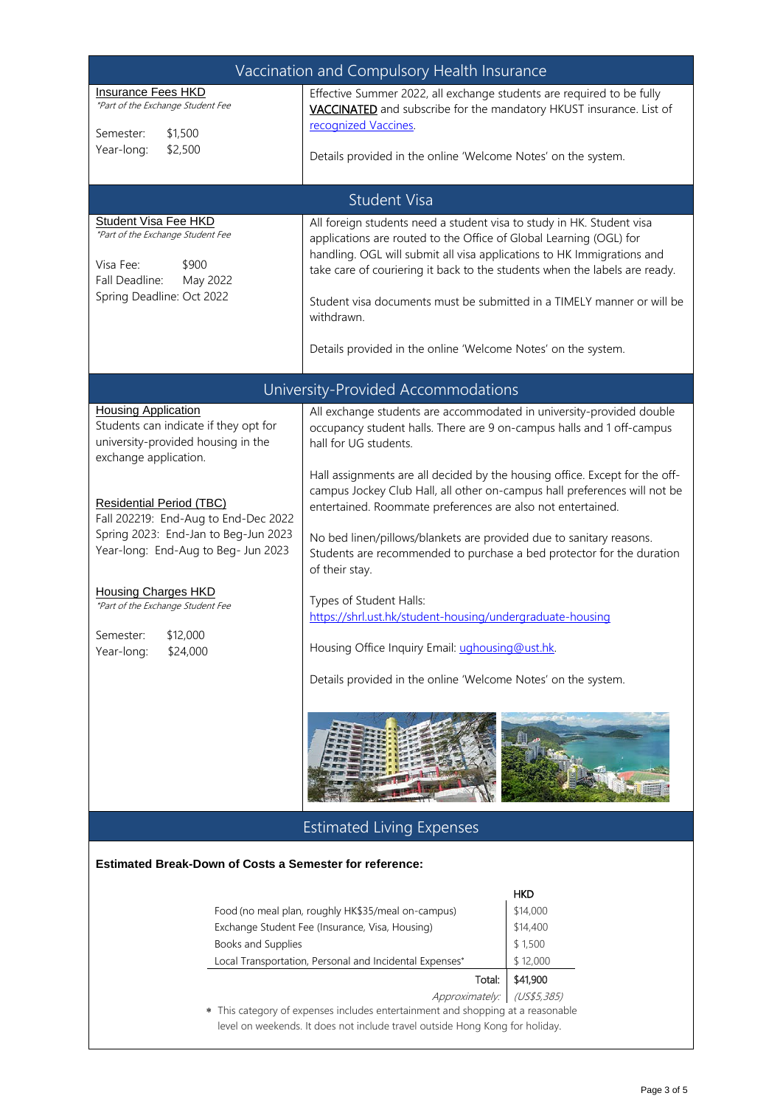| Vaccination and Compulsory Health Insurance                                                                                                                                                                                                                                                                                                                                                                        |                                                                                                                                                                                                                                                                                                                                                                                                                                                                                                                                                                                                                                                                                                                                                                                 |          |  |
|--------------------------------------------------------------------------------------------------------------------------------------------------------------------------------------------------------------------------------------------------------------------------------------------------------------------------------------------------------------------------------------------------------------------|---------------------------------------------------------------------------------------------------------------------------------------------------------------------------------------------------------------------------------------------------------------------------------------------------------------------------------------------------------------------------------------------------------------------------------------------------------------------------------------------------------------------------------------------------------------------------------------------------------------------------------------------------------------------------------------------------------------------------------------------------------------------------------|----------|--|
| <b>Insurance Fees HKD</b><br>*Part of the Exchange Student Fee<br>Semester:<br>\$1,500<br>Year-long:<br>\$2,500                                                                                                                                                                                                                                                                                                    | Effective Summer 2022, all exchange students are required to be fully<br>VACCINATED and subscribe for the mandatory HKUST insurance. List of<br>recognized Vaccines.<br>Details provided in the online 'Welcome Notes' on the system.                                                                                                                                                                                                                                                                                                                                                                                                                                                                                                                                           |          |  |
|                                                                                                                                                                                                                                                                                                                                                                                                                    |                                                                                                                                                                                                                                                                                                                                                                                                                                                                                                                                                                                                                                                                                                                                                                                 |          |  |
| <b>Student Visa</b>                                                                                                                                                                                                                                                                                                                                                                                                |                                                                                                                                                                                                                                                                                                                                                                                                                                                                                                                                                                                                                                                                                                                                                                                 |          |  |
| <b>Student Visa Fee HKD</b><br>*Part of the Exchange Student Fee<br>Visa Fee:<br>\$900<br>Fall Deadline:<br>May 2022<br>Spring Deadline: Oct 2022                                                                                                                                                                                                                                                                  | All foreign students need a student visa to study in HK. Student visa<br>applications are routed to the Office of Global Learning (OGL) for<br>handling. OGL will submit all visa applications to HK Immigrations and<br>take care of couriering it back to the students when the labels are ready.<br>Student visa documents must be submitted in a TIMELY manner or will be<br>withdrawn.<br>Details provided in the online 'Welcome Notes' on the system.                                                                                                                                                                                                                                                                                                                    |          |  |
| University-Provided Accommodations                                                                                                                                                                                                                                                                                                                                                                                 |                                                                                                                                                                                                                                                                                                                                                                                                                                                                                                                                                                                                                                                                                                                                                                                 |          |  |
| <b>Housing Application</b><br>Students can indicate if they opt for<br>university-provided housing in the<br>exchange application.<br><b>Residential Period (TBC)</b><br>Fall 202219: End-Aug to End-Dec 2022<br>Spring 2023: End-Jan to Beg-Jun 2023<br>Year-long: End-Aug to Beg- Jun 2023<br><b>Housing Charges HKD</b><br>*Part of the Exchange Student Fee<br>Semester:<br>\$12,000<br>Year-long:<br>\$24,000 | All exchange students are accommodated in university-provided double<br>occupancy student halls. There are 9 on-campus halls and 1 off-campus<br>hall for UG students.<br>Hall assignments are all decided by the housing office. Except for the off-<br>campus Jockey Club Hall, all other on-campus hall preferences will not be<br>entertained. Roommate preferences are also not entertained.<br>No bed linen/pillows/blankets are provided due to sanitary reasons.<br>Students are recommended to purchase a bed protector for the duration<br>of their stay.<br>Types of Student Halls:<br>https://shrl.ust.hk/student-housing/undergraduate-housing<br>Housing Office Inquiry Email: ughousing@ust.hk.<br>Details provided in the online 'Welcome Notes' on the system. |          |  |
|                                                                                                                                                                                                                                                                                                                                                                                                                    |                                                                                                                                                                                                                                                                                                                                                                                                                                                                                                                                                                                                                                                                                                                                                                                 |          |  |
| <b>Estimated Living Expenses</b>                                                                                                                                                                                                                                                                                                                                                                                   |                                                                                                                                                                                                                                                                                                                                                                                                                                                                                                                                                                                                                                                                                                                                                                                 |          |  |
| <b>Estimated Break-Down of Costs a Semester for reference:</b>                                                                                                                                                                                                                                                                                                                                                     |                                                                                                                                                                                                                                                                                                                                                                                                                                                                                                                                                                                                                                                                                                                                                                                 |          |  |
| <b>HKD</b>                                                                                                                                                                                                                                                                                                                                                                                                         |                                                                                                                                                                                                                                                                                                                                                                                                                                                                                                                                                                                                                                                                                                                                                                                 |          |  |
| Food (no meal plan, roughly HK\$35/meal on-campus)                                                                                                                                                                                                                                                                                                                                                                 |                                                                                                                                                                                                                                                                                                                                                                                                                                                                                                                                                                                                                                                                                                                                                                                 | \$14,000 |  |
| Exchange Student Fee (Insurance, Visa, Housing)                                                                                                                                                                                                                                                                                                                                                                    |                                                                                                                                                                                                                                                                                                                                                                                                                                                                                                                                                                                                                                                                                                                                                                                 | \$14,400 |  |
| Books and Supplies<br>\$1,500<br>Local Transportation, Personal and Incidental Expenses*                                                                                                                                                                                                                                                                                                                           |                                                                                                                                                                                                                                                                                                                                                                                                                                                                                                                                                                                                                                                                                                                                                                                 | \$12,000 |  |
| Total:<br>\$41,900                                                                                                                                                                                                                                                                                                                                                                                                 |                                                                                                                                                                                                                                                                                                                                                                                                                                                                                                                                                                                                                                                                                                                                                                                 |          |  |
| Approximately:<br>(US\$5,385)                                                                                                                                                                                                                                                                                                                                                                                      |                                                                                                                                                                                                                                                                                                                                                                                                                                                                                                                                                                                                                                                                                                                                                                                 |          |  |
| This category of expenses includes entertainment and shopping at a reasonable<br>∗<br>level on weekends. It does not include travel outside Hong Kong for holiday.                                                                                                                                                                                                                                                 |                                                                                                                                                                                                                                                                                                                                                                                                                                                                                                                                                                                                                                                                                                                                                                                 |          |  |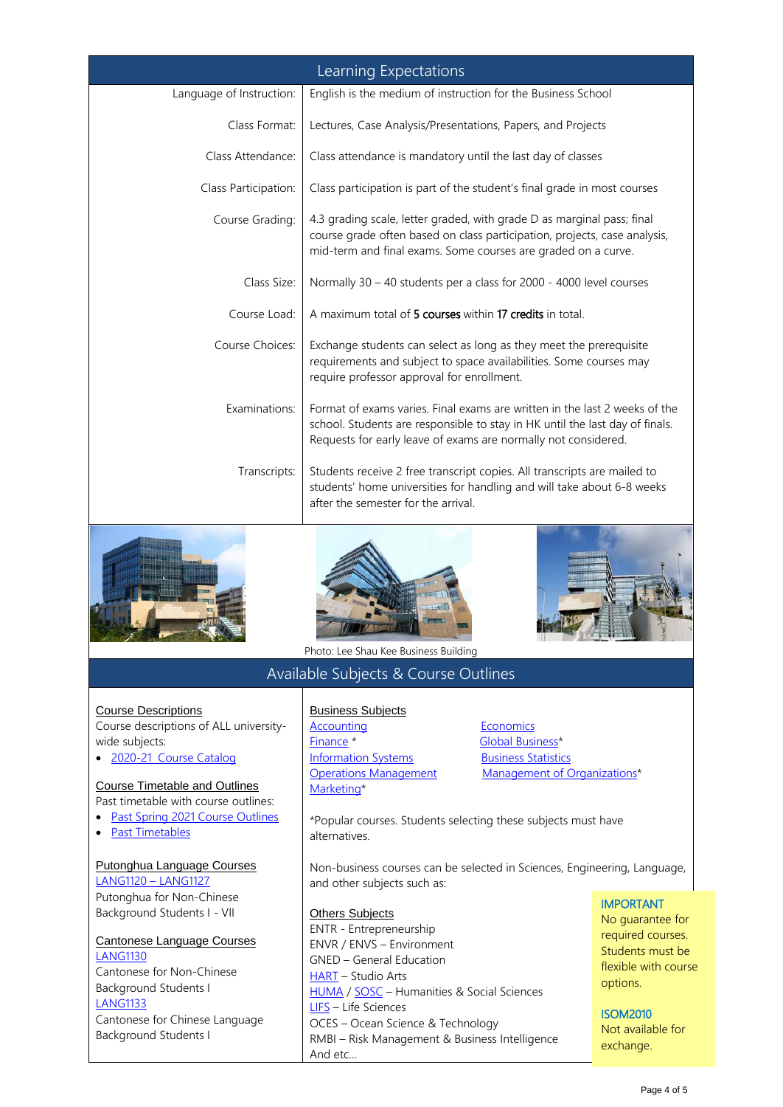| Learning Expectations                                                                                                                                                                            |                                                                                                                                                                                                                                                         |  |  |
|--------------------------------------------------------------------------------------------------------------------------------------------------------------------------------------------------|---------------------------------------------------------------------------------------------------------------------------------------------------------------------------------------------------------------------------------------------------------|--|--|
| Language of Instruction:                                                                                                                                                                         | English is the medium of instruction for the Business School                                                                                                                                                                                            |  |  |
| Class Format:                                                                                                                                                                                    | Lectures, Case Analysis/Presentations, Papers, and Projects                                                                                                                                                                                             |  |  |
| Class Attendance:                                                                                                                                                                                | Class attendance is mandatory until the last day of classes                                                                                                                                                                                             |  |  |
| Class Participation:                                                                                                                                                                             | Class participation is part of the student's final grade in most courses                                                                                                                                                                                |  |  |
| Course Grading:                                                                                                                                                                                  | 4.3 grading scale, letter graded, with grade D as marginal pass; final<br>course grade often based on class participation, projects, case analysis,<br>mid-term and final exams. Some courses are graded on a curve.                                    |  |  |
| Class Size:                                                                                                                                                                                      | Normally 30 - 40 students per a class for 2000 - 4000 level courses                                                                                                                                                                                     |  |  |
| Course Load:                                                                                                                                                                                     | A maximum total of 5 courses within 17 credits in total.                                                                                                                                                                                                |  |  |
| Course Choices:                                                                                                                                                                                  | Exchange students can select as long as they meet the prerequisite<br>requirements and subject to space availabilities. Some courses may<br>require professor approval for enrollment.                                                                  |  |  |
| Examinations:                                                                                                                                                                                    | Format of exams varies. Final exams are written in the last 2 weeks of the<br>school. Students are responsible to stay in HK until the last day of finals.<br>Requests for early leave of exams are normally not considered.                            |  |  |
| Transcripts:                                                                                                                                                                                     | Students receive 2 free transcript copies. All transcripts are mailed to<br>students' home universities for handling and will take about 6-8 weeks<br>after the semester for the arrival.                                                               |  |  |
|                                                                                                                                                                                                  | <b>TANA LA BATTA</b><br>Photo: Lee Shau Kee Business Building                                                                                                                                                                                           |  |  |
|                                                                                                                                                                                                  | Available Subjects & Course Outlines                                                                                                                                                                                                                    |  |  |
| <b>Course Descriptions</b><br>Course descriptions of ALL university-<br>wide subjects:<br>2020-21 Course Catalog<br><b>Course Timetable and Outlines</b><br>Past timetable with course outlines: | <b>Business Subjects</b><br>Economics<br><b>Accounting</b><br>Finance <sup>*</sup><br><b>Global Business*</b><br><b>Business Statistics</b><br><b>Information Systems</b><br>Management of Organizations*<br><b>Operations Management</b><br>Marketing* |  |  |
| • Past Spring 2021 Course Outlines                                                                                                                                                               | *Popular courses. Students selecting these subjects must have                                                                                                                                                                                           |  |  |

• [Past Timetables](https://ug.bm.ust.hk/sbm/exchangein/TimeTable.aspx)

#### Putonghua Language Courses

[LANG1120](http://cle.ust.hk/ug/languages/chinese/) – LANG1127 Putonghua for Non-Chinese Background Students I - VII

Cantonese Language Courses [LANG1130](http://cle.ust.hk/ug/languages/chinese/)  Cantonese for Non-Chinese Background Students I [LANG1133](http://cle.ust.hk/ug/languages/chinese/)  Cantonese for Chinese Language Background Students I

\*Popular courses. Students selecting these subjects must have alternatives.

Non-business courses can be selected in Sciences, Engineering, Language, and other subjects such as:

## **Others Subjects**

ENTR - Entrepreneurship ENVR / ENVS – Environment GNED – General Education [HART](https://huma.ust.hk/teaching_learning/courses_ug2019spring_offering/) – Studio Arts [HUMA](https://huma.ust.hk/teaching_learning/undergraduate-course-offering-for-fall-2020/) / [SOSC](https://sosc.ust.hk/teaching_learning/undergraduate-courses-2020-21-fall/) – Humanities & Social Sciences [LIFS](https://life-sci.ust.hk/ug-courses/) – Life Sciences OCES – Ocean Science & Technology RMBI – Risk Management & Business Intelligence And etc…

## IMPORTANT

No guarantee for required courses. Students must be flexible with course options.

#### ISOM2010

Not available for exchange.